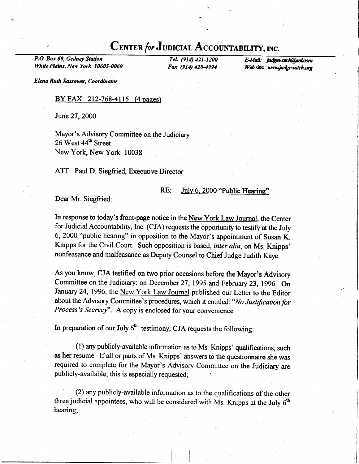# CENTER for JUDICIAL ACCOUNTABILITY, INC.

P.O. Box 69, Gedney Station White Plains, New York 10605-0069

Tel.  $(914)$  421-1200 E-Mail: judgewatch@aol.com<br>Fax  $(914)$  428-4994 Web site: www.judgewatch.org Web site: www.judgewatch.org

Elena Ruth Sassower, Coordinator

# $BY FAX: 212-768-4115$  (4 pages)

June27,2000

Mayor's Advisory Committee on the Judiciary 26 West 44<sup>th</sup> Street New York, New York 10038

ATT: Paul D. Siegfried, Executive Director

# RE: July 6, 2000 "Public Hearing"

Dear Mr. Siegfried:

In response to today's front-page notice in the New York Law Journal, the Center for Judicial Accountability, Inc. (CJA) requests the opportunity to testify at the July 6,2000 "public hearing" in opposition to the Mayor's appointment of Susan K. Knipps for the Civil Court. Such opposition is based, inter alia, on Ms. Knipps' nonfeasance and malfeasance as Deputy Counsel to Chief Judge Judith Kaye.

As you know, CJA testified on two prior occasions before the Mayor's Advisory Committee on the Judiciary: on December 27, 1995 and February 23, 1996. On January 24, 1996, the New York Law Journal published our Letter to the Editor about the Advisory Committee's procedures, which it entitled: "No Justification for Process's Secrecy". A copy is enclosed for your convenience.

In preparation of our July  $6<sup>th</sup>$  testimony, CJA requests the following:

 $(1)$  any publicly-available information as to Ms. Knipps' qualifications, such as her resume. If all or parts of Ms. Knipps' answers to the questionnaire she was required to complete for the Mayor's Advisory Committee on the Judiciary are publicly-available, this is especially requested;

(2) any publicly-available information as to the qualifications of the other three judicial appointees, who will be considered with Ms. Knipps at the July  $6<sup>th</sup>$ hearing;

 $\begin{bmatrix} 1 & 1 \\ 1 & 1 \end{bmatrix}$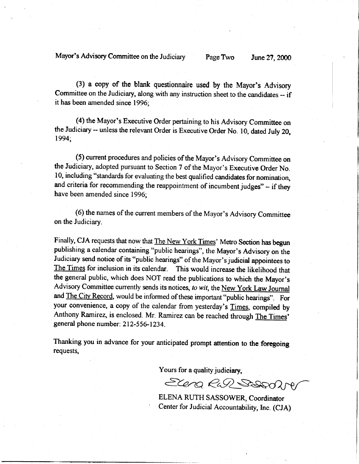Mayor's Advisory Committee on the Judiciary Page Two June 27, 2000

(3) a copy of the blank questionnaire used by the Mayor's Advisory Committee on the Judiciary, along with any instruction sheet to the candidates -- if it has been amended since 1996;

(4) the Mayor's Executive Order pertaining to his Advisory Committee on the Judiciary -- unless the relevant Order is Executive Order No. 10, dated July 20, 1994;

(5) current procedures and policies of the Mayor's Advisory Committee on the Judiciary, adopted pursuant to Section 7 of the Mayor's Executive Order No. 10, including "standards for evaluating the best qualified candidates for nomination, and criteria for recommending the reappointment of incumbent judges" - if they have been amended since 1996;

(6) the names of the current members of the Mayor's Advisory Committee on the Judiciary.

Finally, CJA requests that now that The New York Times' Metro Section has begun publishing a calendar containing "public hearings", the Mayor's Advisory on the Judiciary send notice of its "public hearings" of the Mayor's judicial appointees to The Times for inclusion in its calendar. This would increase the likelihood that the general public, which does NOT read the publications to which the Mayor's Advisory Committee currently sends its notices, to wit, the New York Law Journal and The City Record, would be informed of these important "public hearings". For your convenience, a copy of the calendar from yesterday's Times, compiled by Anthony Ramirez, is enclosed. Mr. Ramirez can be reached through The Times' general phone number: 212-556-1234.

Thanking you in advance for your anticipated prompt attention to the foregoing requests,

Yours for a quality judiciary,

Elena Rul Sessalin

ELENA RUTH SASSOWER, Coordinator Center for Judicial Accountability, Inc. (CJA)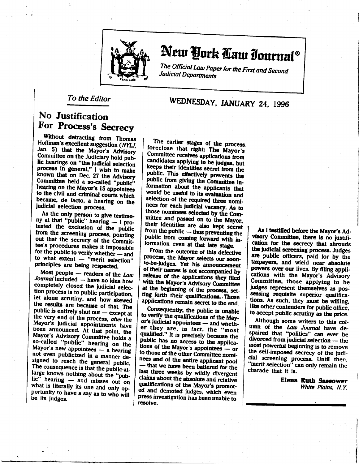

# New York Caw Iournal®

The Official Law Paper for the First and Second Judicial Departments

To the Editor

# WEDNESDAY, JANUARY 24, 1996

# No Justification For Process's Secrecy

Without detracting from Thomas Hoffman's excellent suggestion (NYLJ, Jan. 5) that the Mayor's Advisory Committee on the Judiciary hold public hearings on "the judicial selection process in general," I wish to make known that on Dec. 27 the Advisory Committee held a so-called "public" hearing on the Mayor's 15 appointees to the civil and criminal courts which became, de facto, a hearing on the judicial selection process.

As the only person to give testimony at that "public" hearing - I protested the exclusion of the public from the screening process, pointing out that the secrecy of the Committee's procedures makes it impossible for the public to verify whether - and to what extent - "merit selection" principles are being respected.

Most people - readers of the Law Journal included - have no idea how completely closed the judicial selection process is to public participation, let alone scrutiny, and how skewed the results are because of that. The public is entirely shut out - except at the very end of the process, after the Mayor's judicial appointments have been announced. At that point, the Mayor's Advisory Committee holds a so-called "public" hearing on the Mayor's new appointees - a hearing not even publicized in a manner designed to reach the general public. The consequence is that the public-atlarge knows nothing about the "public" hearing - and misses out on what is literally its one and only opportunity to have a say as to who will be its judges.

The earlier stages of the process. foreclose that right: The Mayor's Committee receives applications from candidates applying to be judges, but keeps their identities secret from the public. This effectively prevents the public from giving the Committee information about the applicants that would be useful to its evaluation and selection of the required three nominees for each judicial vacancy. As to those nominees selected by the Committee and passed on to the Mayor, their identities are also kept secret from the public - thus preventing the public from coming forward with information even at that late stage.

From the outcome of this defective process, the Mayor selects our soonto-be-judges. Yet his announcement of their names is not accompanied by release of the applications they filed with the Mayor's Advisory Committee at the beginning of the process, setting forth their qualifications. Those applications remain secret to the end.

Consequently, the public is unable to verify the qualifications of the Mayor's judicial appointees - and whether they are, in fact, the "most qualified." It is precisely because the public has no access to the applications of the Mayor's appointees — or to those of the other Committee nominees and of the entire applicant pool that we have been battered for the last three weeks by wildly divergent claims about the absolute and relative qualifications of the Mayor's promoted and demoted judges, which even press investigation has been unable to resolve.

As I testified before the Mayor's Advisory Committee, there is no justification for the secrecy that shrouds the judicial screening process. Judges are public officers, paid for by the taxpayers, and wield near absolute powers over our lives. By filing applications with the Mayor's Advisory Committee, those applying to be judges represent themselves as possessing requisite superior qualifications. As such, they must be willing. like other contenders for public office, to accept public scrutiny as the price.

Although some writers to this column of the Law Journal have despaired that "politics" can ever be divorced from judicial selection - the most powerful beginning is to remove the self-imposed secrecy of the judicial screening process. Until then, "merit selection" can only remain the charade that it is.

> **Elena Ruth Sassower** White Plains, N.Y.